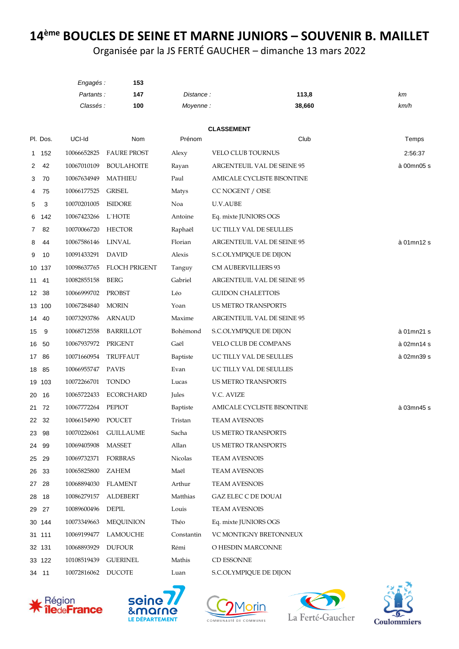## 14<sup>ème</sup> BOUCLES DE SEINE ET MARNE JUNIORS - SOUVENIR B. MAILLET

Organisée par la JS FERTÉ GAUCHER - dimanche 13 mars 2022

|                 |          | Engagés:          | 153                   |                 |                            |            |
|-----------------|----------|-------------------|-----------------------|-----------------|----------------------------|------------|
|                 |          | Partants:         | 147                   | Distance:       | 113,8                      | km         |
|                 |          | Classés :         | 100                   | Moyenne:        | 38,660                     | km/h       |
|                 |          |                   |                       |                 |                            |            |
|                 | Pl. Dos. | UCI-Id            | Nom                   | Prénom          | <b>CLASSEMENT</b><br>Club  | Temps      |
|                 | 1 152    | 10066652825       | <b>FAURE PROST</b>    | Alexy           | VELO CLUB TOURNUS          | 2:56:37    |
| 2               | 42       | 10067010109       | <b>BOULAHOITE</b>     | Rayan           | ARGENTEUIL VAL DE SEINE 95 | à 00mn05 s |
| 3               | 70       | 10067634949       | <b>MATHIEU</b>        | Paul            | AMICALE CYCLISTE BISONTINE |            |
| 4               | 75       | 10066177525       | <b>GRISEL</b>         | Matys           | CC NOGENT / OISE           |            |
| 5               | 3        | 10070201005       | <b>ISIDORE</b>        | Noa             | U.V.AUBE                   |            |
| 6               | 142      | 10067423266       | L`HOTE                | Antoine         | Eq. mixte JUNIORS OGS      |            |
| 7               | 82       | 10070066720       | <b>HECTOR</b>         | Raphaël         | UC TILLY VAL DE SEULLES    |            |
| 8               | 44       | 10067586146       | <b>LINVAL</b>         | Florian         | ARGENTEUIL VAL DE SEINE 95 | à 01mn12 s |
| 9               | 10       | 10091433291       | <b>DAVID</b>          | Alexis          | S.C.OLYMPIQUE DE DIJON     |            |
|                 | 10 137   | 10098637765       | <b>FLOCH PRIGENT</b>  | Tanguy          | <b>CM AUBERVILLIERS 93</b> |            |
| 11              | 41       | 10082855158       | BERG                  | Gabriel         | ARGENTEUIL VAL DE SEINE 95 |            |
| 12 <sup>2</sup> | 38       | 10066999702       | <b>PROBST</b>         | Léo             | <b>GUIDON CHALETTOIS</b>   |            |
|                 | 13 100   | 10067284840       | <b>MORIN</b>          | Yoan            | US METRO TRANSPORTS        |            |
|                 | 14 40    | 10073293786       | <b>ARNAUD</b>         | Maxime          | ARGENTEUIL VAL DE SEINE 95 |            |
| 15              | 9        | 10068712558       | <b>BARRILLOT</b>      | Bohémond        | S.C.OLYMPIQUE DE DIJON     | à 01mn21 s |
| 16              | 50       | 10067937972       | PRIGENT               | Gaël            | VELO CLUB DE COMPANS       | à 02mn14 s |
| 17              | 86       | 10071660954       | TRUFFAUT              | Baptiste        | UC TILLY VAL DE SEULLES    | à 02mn39 s |
| 18              | 85       | 10066955747 PAVIS |                       | Evan            | UC TILLY VAL DE SEULLES    |            |
|                 | 19 103   | 10072266701       | <b>TONDO</b>          | Lucas           | US METRO TRANSPORTS        |            |
| 20              | - 16     | 10065722433       | <b>ECORCHARD</b>      | Jules           | V.C. AVIZE                 |            |
|                 | 21 72    | 10067772264       | PEPIOT                | <b>Baptiste</b> | AMICALE CYCLISTE BISONTINE | à 03mn45 s |
| 22              | 32       | 10066154990       | POUCET                | Tristan         | <b>TEAM AVESNOIS</b>       |            |
|                 | 23 98    |                   | 10070226061 GUILLAUME | Sacha           | US METRO TRANSPORTS        |            |
|                 | 24 99    | 10069405908       | <b>MASSET</b>         | Allan           | <b>US METRO TRANSPORTS</b> |            |
|                 | 25 29    | 10069732371       | FORBRAS               | Nicolas         | <b>TEAM AVESNOIS</b>       |            |
|                 | 26 33    | 10065825800       | ZAHEM                 | Maël            | <b>TEAM AVESNOIS</b>       |            |
|                 | 27 28    | 10068894030       | FLAMENT               | Arthur          | <b>TEAM AVESNOIS</b>       |            |
|                 | 28 18    | 10086279157       | <b>ALDEBERT</b>       | Matthias        | <b>GAZ ELEC C DE DOUAI</b> |            |
|                 | 29 27    | 10089600496       | <b>DEPIL</b>          | Louis           | <b>TEAM AVESNOIS</b>       |            |
|                 | 30 144   | 10073349663       | <b>MEQUINION</b>      | Théo            | Eq. mixte JUNIORS OGS      |            |
|                 | 31 111   | 10069199477       | LAMOUCHE              | Constantin      | VC MONTIGNY BRETONNEUX     |            |
|                 | 32 131   | 10068893929       | <b>DUFOUR</b>         | Rémi            | O HESDIN MARCONNE          |            |
|                 | 33 122   | 10108519439       | <b>GUERINEL</b>       | Mathis          | CD ESSONNE                 |            |
|                 | 34 11    | 10072816062       | <b>DUCOTE</b>         | Luan            | S.C.OLYMPIQUE DE DIJON     |            |









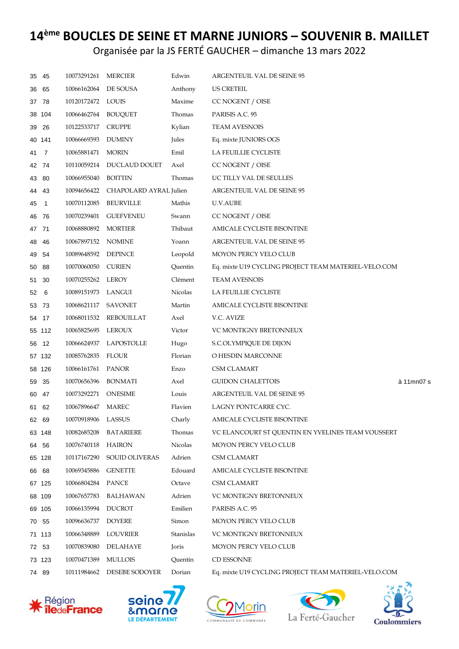## 14<sup>ème</sup> BOUCLES DE SEINE ET MARNE JUNIORS - SOUVENIR B. MAILLET

Organisée par la JS FERTÉ GAUCHER - dimanche 13 mars 2022

| 35 | 45             | 10073291261          | <b>MERCIER</b>                     | Edwin     | ARGENTEUIL VAL DE SEINE 95                           |            |
|----|----------------|----------------------|------------------------------------|-----------|------------------------------------------------------|------------|
| 36 | 65             | 10066162064 DE SOUSA |                                    | Anthony   | US CRETEIL                                           |            |
|    | 37 78          | 10120172472 LOUIS    |                                    | Maxime    | CC NOGENT / OISE                                     |            |
|    | 38 104         | 10066462764 BOUQUET  |                                    | Thomas    | PARISIS A.C. 95                                      |            |
| 39 | 26             | 10122533717          | <b>CRUPPE</b>                      | Kylian    | <b>TEAM AVESNOIS</b>                                 |            |
|    | 40 141         | 10066669393          | <b>DUMINY</b>                      | Jules     | Eq. mixte JUNIORS OGS                                |            |
| 41 | $\overline{7}$ | 10065881471          | <b>MORIN</b>                       | Emil      | LA FEUILLIE CYCLISTE                                 |            |
|    | 42 74          |                      | 10110059214 DUCLAUD DOUET          | Axel      | CC NOGENT / OISE                                     |            |
|    | 43 80          | 10066955040          | BOITTIN                            | Thomas    | UC TILLY VAL DE SEULLES                              |            |
| 44 | 43             |                      | 10094656422 CHAPOLARD AYRAL Julien |           | ARGENTEUIL VAL DE SEINE 95                           |            |
| 45 | $\overline{1}$ | 10070112085          | <b>BEURVILLE</b>                   | Mathis    | U.V.AUBE                                             |            |
| 46 | - 76           | 10070239401          | <b>GUEFVENEU</b>                   | Swann     | CC NOGENT / OISE                                     |            |
|    | 47 71          | 10068880892          | <b>MORTIER</b>                     | Thibaut   | AMICALE CYCLISTE BISONTINE                           |            |
| 48 | 46             | 10067897152 NOMINE   |                                    | Yoann     | ARGENTEUIL VAL DE SEINE 95                           |            |
| 49 | 54             | 10089648592          | DEPINCE                            | Leopold   | MOYON PERCY VELO CLUB                                |            |
| 50 | 88             | 10070060050          | <b>CURIEN</b>                      | Quentin   | Eq. mixte U19 CYCLING PROJECT TEAM MATERIEL-VELO.COM |            |
| 51 | 30             | 10070255262 LEROY    |                                    | Clément   | <b>TEAM AVESNOIS</b>                                 |            |
| 52 | 6              | 10089151973          | LANGUI                             | Nicolas   | LA FEUILLIE CYCLISTE                                 |            |
|    | 53 73          | 10068621117          | SAVONET                            | Martin    | AMICALE CYCLISTE BISONTINE                           |            |
|    | 54 17          |                      | 10068011532 REBOUILLAT             | Axel      | V.C. AVIZE                                           |            |
|    | 55 112         | 10065825695          | LEROUX                             | Victor    | VC MONTIGNY BRETONNEUX                               |            |
| 56 | 12             |                      | 10066624937 LAPOSTOLLE             | Hugo      | S.C.OLYMPIQUE DE DIJON                               |            |
|    | 57 132         | 10085762835          | FLOUR                              | Florian   | O HESDIN MARCONNE                                    |            |
|    | 58 126         | 10066161761          | <b>PANOR</b>                       | Enzo      | CSM CLAMART                                          |            |
| 59 | 35             | 10070656396          | <b>BONMATI</b>                     | Axel      | <b>GUIDON CHALETTOIS</b>                             | à 11mn07 s |
| 60 | 47             | 10073292271          | <b>ONESIME</b>                     | Louis     | ARGENTEUIL VAL DE SEINE 95                           |            |
|    | 61 62          | 10067896647          | <b>MAREC</b>                       | Flavien   | LAGNY PONTCARRE CYC.                                 |            |
|    | 62 69          | 10070918906 LASSUS   |                                    | Charly    | AMICALE CYCLISTE BISONTINE                           |            |
|    | 63 148         | 10082685208          | <b>BATARIERE</b>                   | Thomas    | VC ELANCOURT ST QUENTIN EN YVELINES TEAM VOUSSERT    |            |
|    | 64 56          | 10076740118          | HAIRON                             | Nicolas   | MOYON PERCY VELO CLUB                                |            |
|    | 65 128         | 10117167290          | SOUID OLIVERAS                     | Adrien    | <b>CSM CLAMART</b>                                   |            |
|    | 66 68          | 10069345886          | <b>GENETTE</b>                     | Edouard   | AMICALE CYCLISTE BISONTINE                           |            |
|    | 67 125         | 10066804284          | PANCE                              | Octave    | <b>CSM CLAMART</b>                                   |            |
|    | 68 109         | 10067657783          | BALHAWAN                           | Adrien    | VC MONTIGNY BRETONNEUX                               |            |
|    | 69 105         | 10066135994          | <b>DUCROT</b>                      | Emilien   | PARISIS A.C. 95                                      |            |
|    | 70 55          | 10096636737          | <b>DOYERE</b>                      | Simon     | MOYON PERCY VELO CLUB                                |            |
|    | 71 113         | 10066348889          | LOUVRIER                           | Stanislas | VC MONTIGNY BRETONNEUX                               |            |
|    | 72 53          | 10070839080          | DELAHAYE                           | Joris     | MOYON PERCY VELO CLUB                                |            |
|    | 73 123         | 10070471389          | <b>MULLOIS</b>                     | Quentin   | CD ESSONNE                                           |            |
|    | 74 89          |                      | 10111984662 DESEBE SODOYER         | Dorian    | Eq. mixte U19 CYCLING PROJECT TEAM MATERIEL-VELO.COM |            |